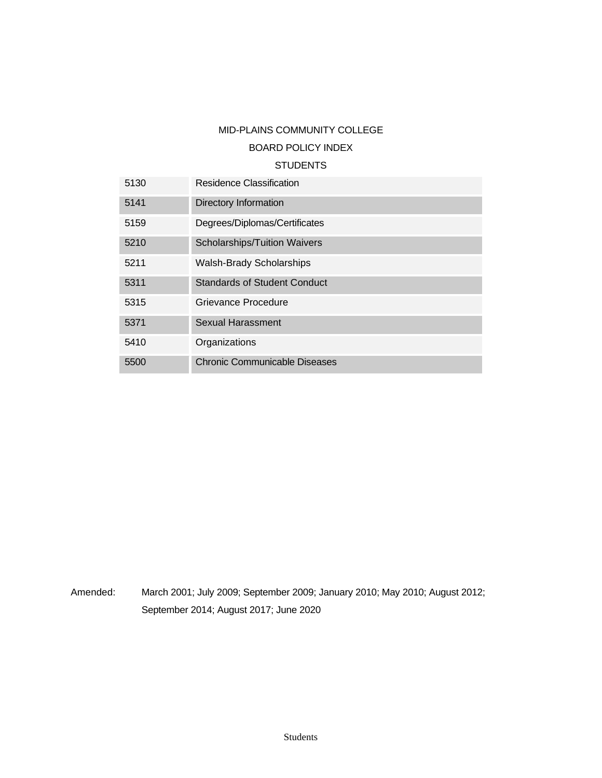# MID-PLAINS COMMUNITY COLLEGE

## BOARD POLICY INDEX

## **STUDENTS**

| 5130 | Residence Classification            |
|------|-------------------------------------|
| 5141 | Directory Information               |
| 5159 | Degrees/Diplomas/Certificates       |
| 5210 | <b>Scholarships/Tuition Waivers</b> |
| 5211 | <b>Walsh-Brady Scholarships</b>     |
| 5311 | <b>Standards of Student Conduct</b> |
| 5315 | Grievance Procedure                 |
| 5371 | <b>Sexual Harassment</b>            |
| 5410 | Organizations                       |
| 5500 | Chronic Communicable Diseases       |

Amended: March 2001; July 2009; September 2009; January 2010; May 2010; August 2012; September 2014; August 2017; June 2020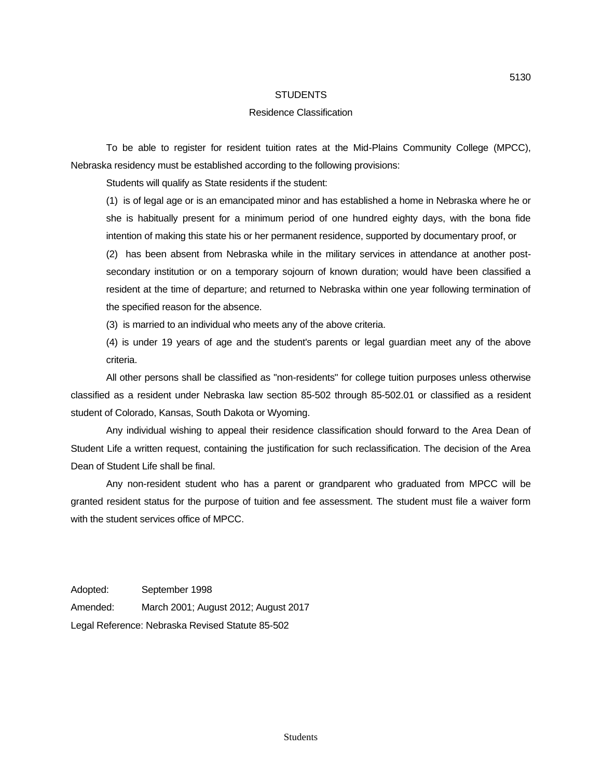## Residence Classification

To be able to register for resident tuition rates at the Mid-Plains Community College (MPCC), Nebraska residency must be established according to the following provisions:

Students will qualify as State residents if the student:

(1) is of legal age or is an emancipated minor and has established a home in Nebraska where he or she is habitually present for a minimum period of one hundred eighty days, with the bona fide intention of making this state his or her permanent residence, supported by documentary proof, or

(2) has been absent from Nebraska while in the military services in attendance at another postsecondary institution or on a temporary sojourn of known duration; would have been classified a resident at the time of departure; and returned to Nebraska within one year following termination of the specified reason for the absence.

(3) is married to an individual who meets any of the above criteria.

(4) is under 19 years of age and the student's parents or legal guardian meet any of the above criteria.

All other persons shall be classified as "non-residents" for college tuition purposes unless otherwise classified as a resident under Nebraska law section 85-502 through 85-502.01 or classified as a resident student of Colorado, Kansas, South Dakota or Wyoming.

Any individual wishing to appeal their residence classification should forward to the Area Dean of Student Life a written request, containing the justification for such reclassification. The decision of the Area Dean of Student Life shall be final.

Any non-resident student who has a parent or grandparent who graduated from MPCC will be granted resident status for the purpose of tuition and fee assessment. The student must file a waiver form with the student services office of MPCC.

Adopted: September 1998 Amended: March 2001; August 2012; August 2017 Legal Reference: Nebraska Revised Statute 85-502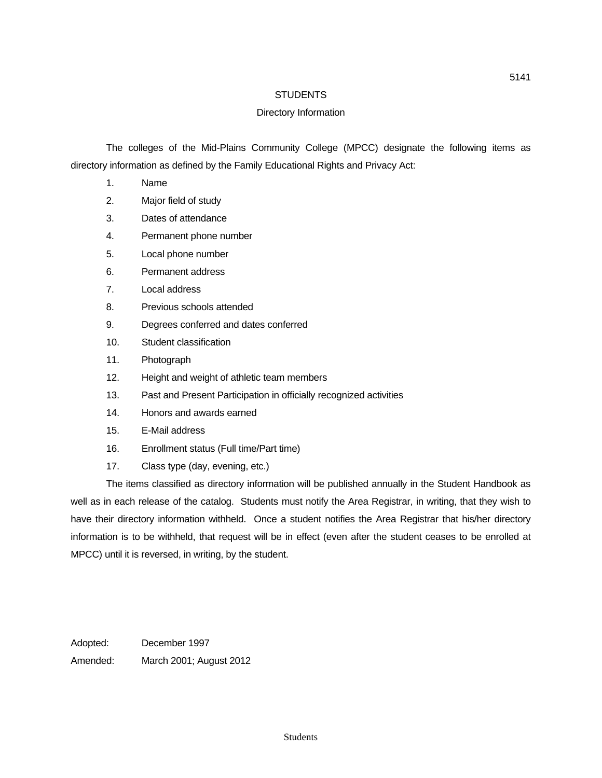## Directory Information

The colleges of the Mid-Plains Community College (MPCC) designate the following items as directory information as defined by the Family Educational Rights and Privacy Act:

- 1. Name
- 2. Major field of study
- 3. Dates of attendance
- 4. Permanent phone number
- 5. Local phone number
- 6. Permanent address
- 7. Local address
- 8. Previous schools attended
- 9. Degrees conferred and dates conferred
- 10. Student classification
- 11. Photograph
- 12. Height and weight of athletic team members
- 13. Past and Present Participation in officially recognized activities
- 14. Honors and awards earned
- 15. E-Mail address
- 16. Enrollment status (Full time/Part time)
- 17. Class type (day, evening, etc.)

The items classified as directory information will be published annually in the Student Handbook as well as in each release of the catalog. Students must notify the Area Registrar, in writing, that they wish to have their directory information withheld. Once a student notifies the Area Registrar that his/her directory information is to be withheld, that request will be in effect (even after the student ceases to be enrolled at MPCC) until it is reversed, in writing, by the student.

Adopted: December 1997 Amended: March 2001; August 2012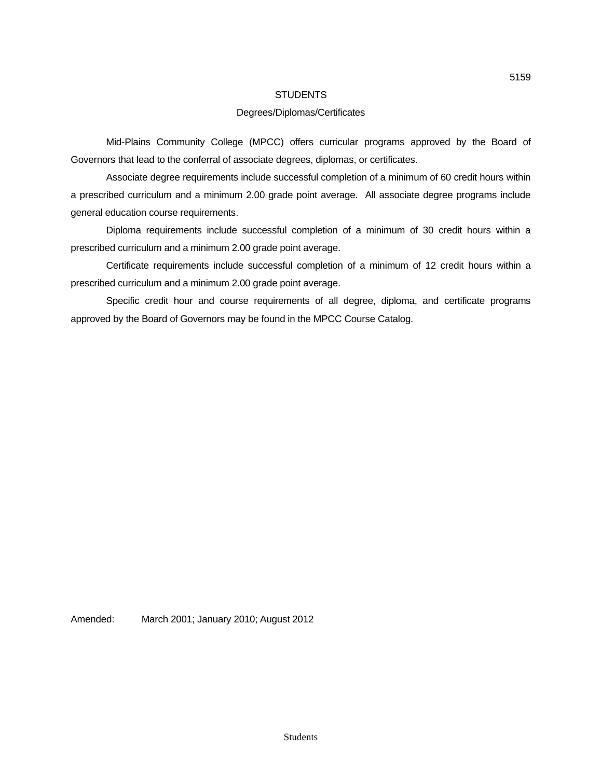## Degrees/Diplomas/Certificates

Mid-Plains Community College (MPCC) offers curricular programs approved by the Board of Governors that lead to the conferral of associate degrees, diplomas, or certificates.

Associate degree requirements include successful completion of a minimum of 60 credit hours within a prescribed curriculum and a minimum 2.00 grade point average. All associate degree programs include general education course requirements.

Diploma requirements include successful completion of a minimum of 30 credit hours within a prescribed curriculum and a minimum 2.00 grade point average.

Certificate requirements include successful completion of a minimum of 12 credit hours within a prescribed curriculum and a minimum 2.00 grade point average.

Specific credit hour and course requirements of all degree, diploma, and certificate programs approved by the Board of Governors may be found in the MPCC Course Catalog.

Amended: March 2001; January 2010; August 2012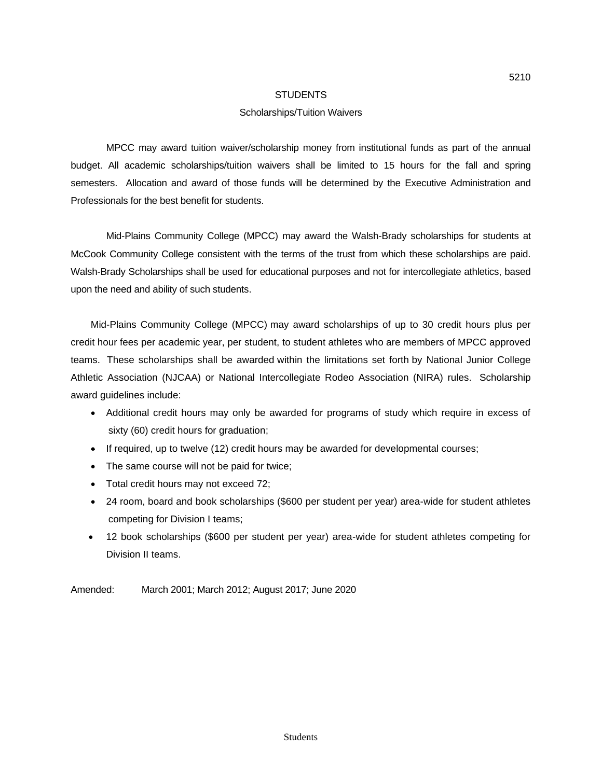## Scholarships/Tuition Waivers

MPCC may award tuition waiver/scholarship money from institutional funds as part of the annual budget. All academic scholarships/tuition waivers shall be limited to 15 hours for the fall and spring semesters. Allocation and award of those funds will be determined by the Executive Administration and Professionals for the best benefit for students.

Mid-Plains Community College (MPCC) may award the Walsh-Brady scholarships for students at McCook Community College consistent with the terms of the trust from which these scholarships are paid. Walsh-Brady Scholarships shall be used for educational purposes and not for intercollegiate athletics, based upon the need and ability of such students.

Mid-Plains Community College (MPCC) may award scholarships of up to 30 credit hours plus per credit hour fees per academic year, per student, to student athletes who are members of MPCC approved teams. These scholarships shall be awarded within the limitations set forth by National Junior College Athletic Association (NJCAA) or National Intercollegiate Rodeo Association (NIRA) rules. Scholarship award guidelines include:

- Additional credit hours may only be awarded for programs of study which require in excess of sixty (60) credit hours for graduation;
- If required, up to twelve (12) credit hours may be awarded for developmental courses;
- The same course will not be paid for twice;
- Total credit hours may not exceed 72;
- 24 room, board and book scholarships (\$600 per student per year) area-wide for student athletes competing for Division I teams;
- 12 book scholarships (\$600 per student per year) area-wide for student athletes competing for Division II teams.

Amended: March 2001; March 2012; August 2017; June 2020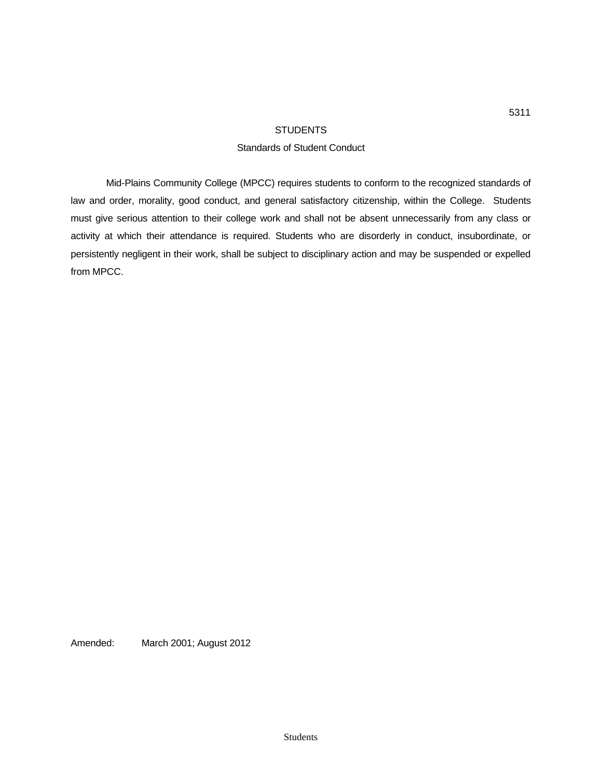## Standards of Student Conduct

Mid-Plains Community College (MPCC) requires students to conform to the recognized standards of law and order, morality, good conduct, and general satisfactory citizenship, within the College. Students must give serious attention to their college work and shall not be absent unnecessarily from any class or activity at which their attendance is required. Students who are disorderly in conduct, insubordinate, or persistently negligent in their work, shall be subject to disciplinary action and may be suspended or expelled from MPCC.

Amended: March 2001; August 2012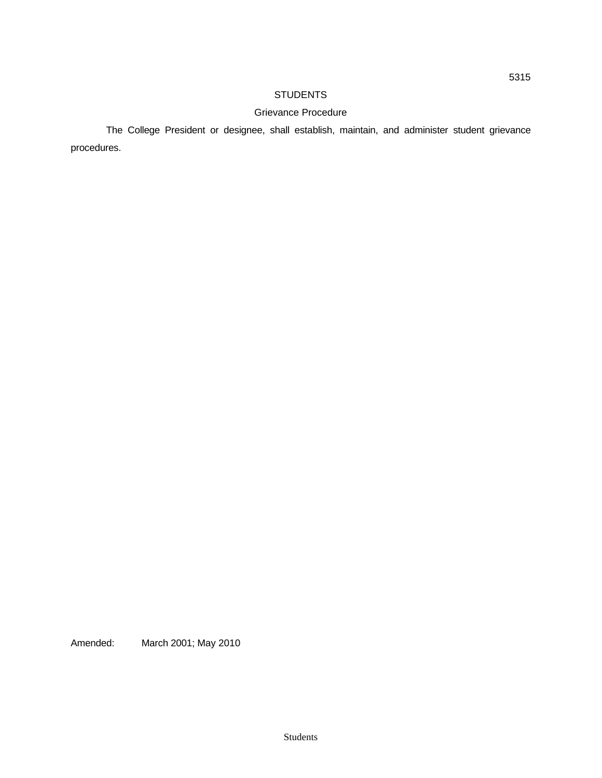## Grievance Procedure

The College President or designee, shall establish, maintain, and administer student grievance procedures.

Amended: March 2001; May 2010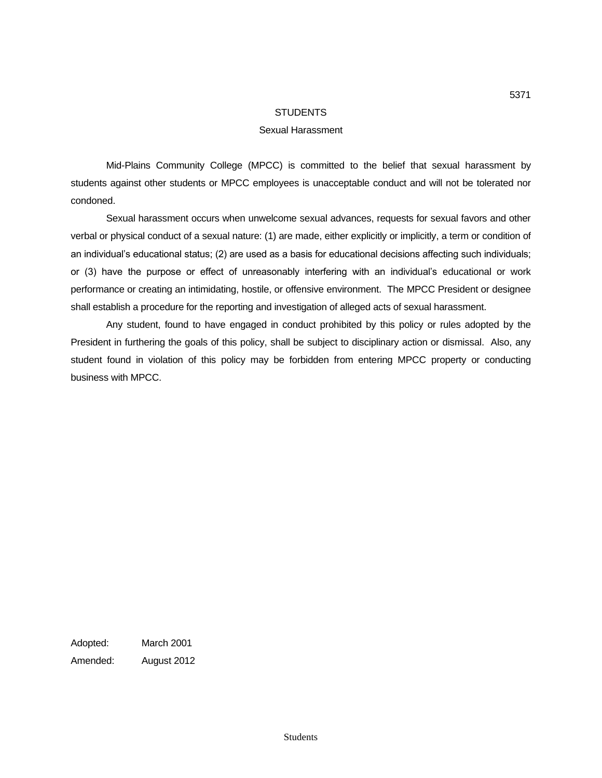#### Sexual Harassment

Mid-Plains Community College (MPCC) is committed to the belief that sexual harassment by students against other students or MPCC employees is unacceptable conduct and will not be tolerated nor condoned.

Sexual harassment occurs when unwelcome sexual advances, requests for sexual favors and other verbal or physical conduct of a sexual nature: (1) are made, either explicitly or implicitly, a term or condition of an individual's educational status; (2) are used as a basis for educational decisions affecting such individuals; or (3) have the purpose or effect of unreasonably interfering with an individual's educational or work performance or creating an intimidating, hostile, or offensive environment. The MPCC President or designee shall establish a procedure for the reporting and investigation of alleged acts of sexual harassment.

Any student, found to have engaged in conduct prohibited by this policy or rules adopted by the President in furthering the goals of this policy, shall be subject to disciplinary action or dismissal. Also, any student found in violation of this policy may be forbidden from entering MPCC property or conducting business with MPCC.

Adopted: March 2001 Amended: August 2012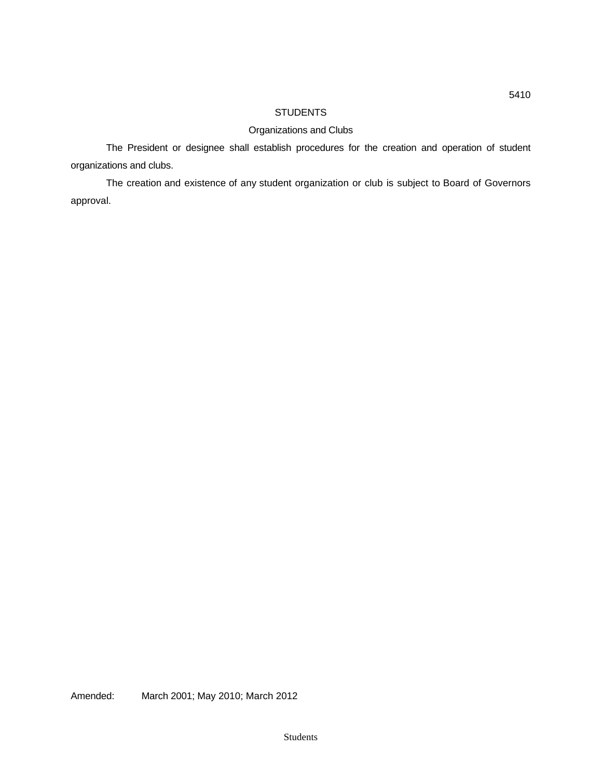# Organizations and Clubs

The President or designee shall establish procedures for the creation and operation of student organizations and clubs.

The creation and existence of any student organization or club is subject to Board of Governors approval.